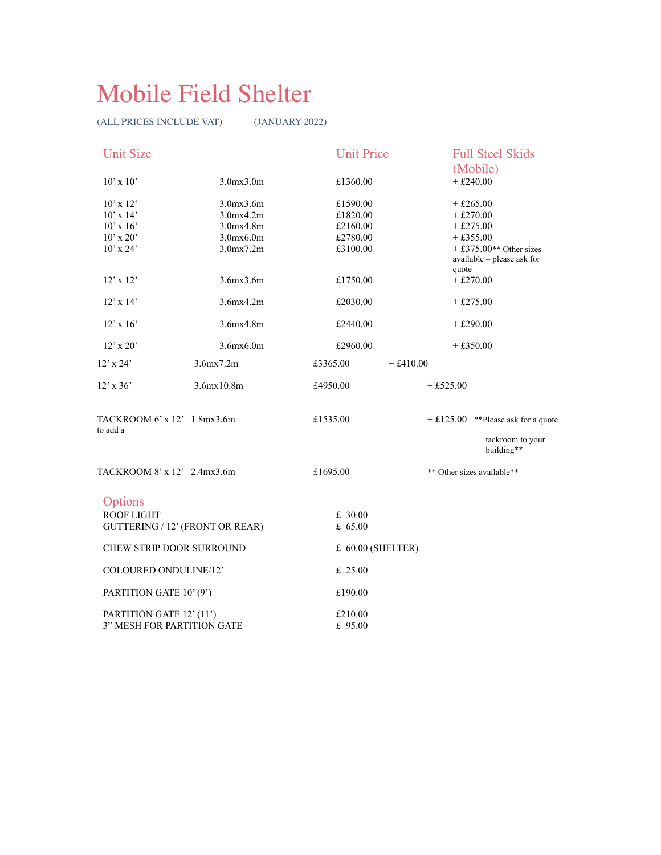## Mobile Field Shelter

(ALL PRICES INCLUDE VAT) (JANUARY 2022)

| <b>Unit Size</b>                        |                                 | <b>Unit Price</b>      | <b>Full Steel Skids</b>                                             |
|-----------------------------------------|---------------------------------|------------------------|---------------------------------------------------------------------|
| $10' \times 10'$                        | 3.0mx3.0m                       | £1360.00               | (Mobile)<br>$+£240.00$                                              |
|                                         |                                 |                        |                                                                     |
| $10'$ x $12'$                           | 3.0mx3.6m                       | £1590.00               | $+£265.00$                                                          |
| $10'$ x $14'$                           | $3.0$ mx $4.2$ m                | £1820.00               | $+£270.00$                                                          |
| $10'$ x $16'$                           | 3.0mx4.8m                       | £2160.00               | $+£275.00$                                                          |
| $10'$ x $20'$                           | 3.0mx6.0m                       | £2780.00               | $+£355.00$                                                          |
| $10'$ x $24'$                           | $3.0$ mx $7.2$ m                | £3100.00               | $+$ £375.00 <sup>**</sup> Other sizes<br>available - please ask for |
| $12' \times 12'$                        | $3.6$ mx $3.6$ m                | £1750.00               | quote<br>$+£270.00$                                                 |
| $12' \times 14'$                        | 3.6mx4.2m                       | £2030.00               | $+£275.00$                                                          |
| $12'$ x $16'$                           | 3.6mx4.8m                       | £2440.00               | $+£290.00$                                                          |
| $12' \times 20'$                        | $3.6$ m $x6.0$ m                | £2960.00               | $+£350.00$                                                          |
| $12'$ x $24'$                           | 3.6mx7.2m                       | £3365.00<br>$+£410.00$ |                                                                     |
| $12'$ x 36'                             | 3.6mx10.8m                      | £4950.00               | $+£525.00$                                                          |
| TACKROOM 6' x 12' 1.8mx3.6m<br>to add a |                                 | £1535.00               | $+ £125.00$ **Please ask for a quote                                |
|                                         |                                 |                        | tackroom to your<br>building**                                      |
| TACKROOM 8' x 12' 2.4mx3.6m             |                                 | £1695.00               | ** Other sizes available**                                          |
| Options                                 |                                 |                        |                                                                     |
| <b>ROOF LIGHT</b>                       |                                 | £ 30.00                |                                                                     |
|                                         | GUTTERING / 12' (FRONT OR REAR) | £ $65.00$              |                                                                     |
| CHEW STRIP DOOR SURROUND                |                                 | £ 60.00 (SHELTER)      |                                                                     |
| COLOURED ONDULINE/12'                   |                                 | £ $25.00$              |                                                                     |
| PARTITION GATE 10' (9')                 |                                 | £190.00                |                                                                     |
| PARTITION GATE 12' (11')                |                                 | £210.00                |                                                                     |
| 3" MESH FOR PARTITION GATE              |                                 | £ 95.00                |                                                                     |